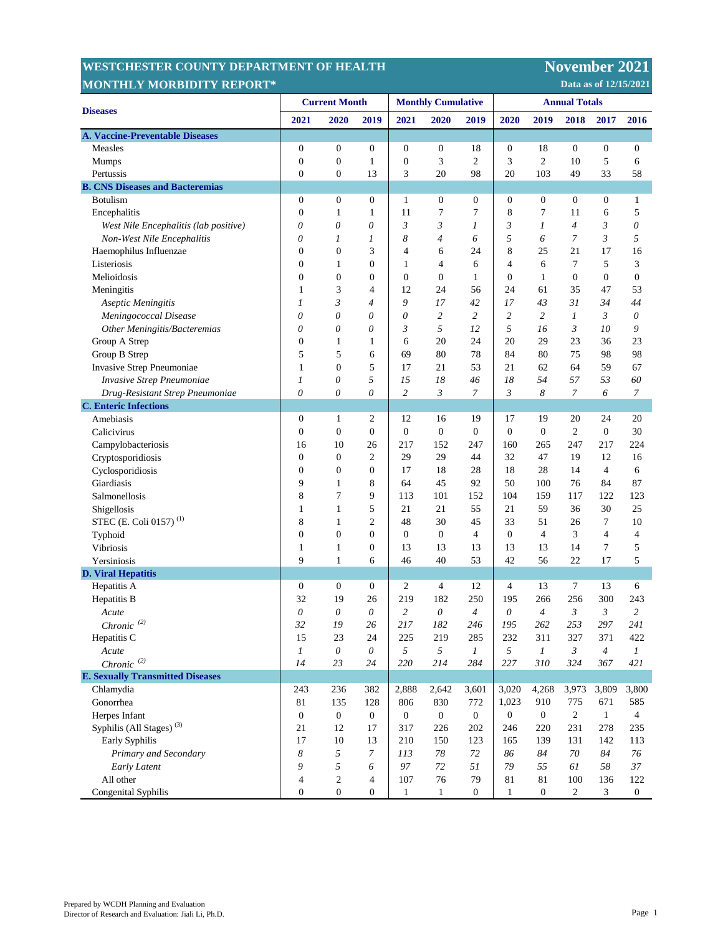| <b>MONTHLY MORBIDITY REPORT*</b><br>Data as of 12/15/2021 |                      |                  |                  |                           |                  |                  |                      |                  |                  |                  |                         |
|-----------------------------------------------------------|----------------------|------------------|------------------|---------------------------|------------------|------------------|----------------------|------------------|------------------|------------------|-------------------------|
|                                                           | <b>Current Month</b> |                  |                  | <b>Monthly Cumulative</b> |                  |                  | <b>Annual Totals</b> |                  |                  |                  |                         |
| <b>Diseases</b>                                           | 2021                 | 2020             | 2019             | 2021                      | 2020             | 2019             | 2020                 | 2019             | 2018             | 2017             | 2016                    |
| A. Vaccine-Preventable Diseases                           |                      |                  |                  |                           |                  |                  |                      |                  |                  |                  |                         |
| Measles                                                   | $\boldsymbol{0}$     | $\mathbf{0}$     | 0                | $\boldsymbol{0}$          | $\boldsymbol{0}$ | 18               | $\boldsymbol{0}$     | 18               | $\boldsymbol{0}$ | $\boldsymbol{0}$ | $\boldsymbol{0}$        |
| Mumps                                                     | $\boldsymbol{0}$     | $\boldsymbol{0}$ | 1                | $\boldsymbol{0}$          | 3                | $\overline{c}$   | 3                    | $\mathfrak{2}$   | 10               | 5                | 6                       |
| Pertussis                                                 | $\mathbf{0}$         | $\mathbf{0}$     | 13               | 3                         | 20               | 98               | 20                   | 103              | 49               | 33               | 58                      |
| <b>B. CNS Diseases and Bacteremias</b>                    |                      |                  |                  |                           |                  |                  |                      |                  |                  |                  |                         |
| <b>Botulism</b>                                           | $\boldsymbol{0}$     | $\boldsymbol{0}$ | 0                | $\mathbf{1}$              | $\boldsymbol{0}$ | $\boldsymbol{0}$ | $\boldsymbol{0}$     | $\boldsymbol{0}$ | $\boldsymbol{0}$ | $\boldsymbol{0}$ | 1                       |
| Encephalitis                                              | $\boldsymbol{0}$     | 1                | 1                | 11                        | 7                | 7                | 8                    | 7                | 11               | 6                | 5                       |
| West Nile Encephalitis (lab positive)                     | 0                    | $\theta$         | 0                | $\mathfrak{Z}$            | 3                | 1                | 3                    | 1                | $\overline{4}$   | 3                | 0                       |
| Non-West Nile Encephalitis                                | 0                    | 1                | 1                | 8                         | 4                | 6                | 5                    | 6                | 7                | 3                | 5                       |
| Haemophilus Influenzae                                    | $\boldsymbol{0}$     | $\boldsymbol{0}$ | 3                | $\overline{4}$            | 6                | 24               | 8                    | 25               | 21               | 17               | 16                      |
| Listeriosis                                               | $\boldsymbol{0}$     | 1                | 0                | 1                         | $\overline{4}$   | 6                | $\overline{4}$       | 6                | $\tau$           | 5                | 3                       |
| Melioidosis                                               | $\boldsymbol{0}$     | $\boldsymbol{0}$ | 0                | $\mathbf{0}$              | $\boldsymbol{0}$ | 1                | $\boldsymbol{0}$     | $\mathbf{1}$     | $\boldsymbol{0}$ | $\boldsymbol{0}$ | $\boldsymbol{0}$        |
| Meningitis                                                | 1                    | 3                | 4                | 12                        | 24               | 56               | 24                   | 61               | 35               | 47               | 53                      |
| Aseptic Meningitis                                        | 1                    | 3                | $\overline{4}$   | 9                         | 17               | 42               | 17                   | 43               | 31               | 34               | 44                      |
| Meningococcal Disease                                     | 0                    | $\theta$         | 0                | 0                         | $\overline{c}$   | $\overline{c}$   | $\overline{c}$       | $\overline{c}$   | 1                | 3                | 0                       |
| Other Meningitis/Bacteremias                              | 0                    | $\theta$         | 0                | 3                         | 5                | 12               | 5                    | 16               | 3                | 10               | 9                       |
| Group A Strep                                             | $\boldsymbol{0}$     | 1                | 1                | 6                         | 20               | 24               | 20                   | 29               | 23               | 36               | 23                      |
| Group B Strep                                             | 5                    | 5                | 6                | 69                        | 80               | 78               | 84                   | 80               | 75               | 98               | 98                      |
| Invasive Strep Pneumoniae                                 | 1                    | $\boldsymbol{0}$ | 5                | 17                        | 21               | 53               | 21                   | 62               | 64               | 59               | 67                      |
| Invasive Strep Pneumoniae                                 | 1                    | $\theta$         | 5                | 15                        | 18               | 46               | 18                   | 54               | 57               | 53               | 60                      |
| Drug-Resistant Strep Pneumoniae                           | 0                    | $\theta$         | $\theta$         | $\overline{c}$            | 3                | $\overline{7}$   | 3                    | 8                | 7                | 6                | $\boldsymbol{7}$        |
| <b>C. Enteric Infections</b>                              |                      |                  |                  |                           |                  |                  |                      |                  |                  |                  |                         |
| Amebiasis                                                 | $\boldsymbol{0}$     | 1                | 2                | 12                        | 16               | 19               | 17                   | 19               | 20               | 24               | 20                      |
| Calicivirus                                               | $\boldsymbol{0}$     | $\overline{0}$   | 0                | $\boldsymbol{0}$          | $\overline{0}$   | $\mathbf{0}$     | $\overline{0}$       | $\boldsymbol{0}$ | $\overline{c}$   | $\boldsymbol{0}$ | 30                      |
| Campylobacteriosis                                        | 16                   | 10               | 26               | 217                       | 152              | 247              | 160                  | 265              | 247              | 217              | 224                     |
| Cryptosporidiosis                                         | $\boldsymbol{0}$     | $\boldsymbol{0}$ | 2                | 29                        | 29               | 44               | 32                   | 47               | 19               | 12               | 16                      |
| Cyclosporidiosis                                          | $\mathbf{0}$         | $\mathbf{0}$     | 0                | 17                        | 18               | 28               | 18                   | 28               | 14               | $\overline{4}$   | 6                       |
| Giardiasis                                                | 9                    | 1                | 8                | 64                        | 45               | 92               | 50                   | 100              | 76               | 84               | 87                      |
| Salmonellosis                                             | 8                    | $\overline{7}$   | 9                | 113                       | 101              | 152              | 104                  | 159              | 117              | 122              | 123                     |
| Shigellosis                                               | 1                    | $\mathbf{1}$     | 5                | 21                        | 21               | 55               | 21                   | 59               | 36               | 30               | 25                      |
| STEC (E. Coli 0157) <sup>(1)</sup>                        | 8                    | 1                | 2                | 48                        | 30               | 45               | 33                   | 51               | 26               | 7                | 10                      |
| Typhoid                                                   | $\mathbf{0}$         | $\boldsymbol{0}$ | 0                | $\boldsymbol{0}$          | $\mathbf{0}$     | 4                | $\boldsymbol{0}$     | 4                | 3                | 4                | $\overline{\mathbf{4}}$ |
| <b>Vibriosis</b>                                          | 1                    | 1                | 0                | 13                        | 13               | 13               | 13                   | 13               | 14               | 7                | 5                       |
| Yersiniosis                                               | 9                    | $\mathbf{1}$     | 6                | 46                        | 40               | 53               | 42                   | 56               | 22               | 17               | 5                       |
| <b>D. Viral Hepatitis</b>                                 |                      |                  |                  |                           |                  |                  |                      |                  |                  |                  |                         |
| Hepatitis A                                               | $\boldsymbol{0}$     | $\boldsymbol{0}$ | 0                | $\overline{c}$            | $\overline{4}$   | 12               | $\overline{4}$       | 13               | 7                | 13               | 6                       |
| Hepatitis B                                               | 32                   | 19               | 26               | 219                       | 182              | 250              | 195                  | 266              | 256              | 300              | 243                     |
| Acute                                                     | 0                    | 0                | 0                | 2                         | 0                | $\overline{4}$   | 0                    | $\overline{4}$   | 3                | 3                | 2                       |
| Chronic $(2)$                                             | 32                   | 19               | $26\,$           | 217                       | 182              | 246              | 195                  | 262              | 253              | 297              | 241                     |
| Hepatitis C                                               | 15                   | 23               | 24               | 225                       | 219              | 285              | 232                  | 311              | 327              | 371              | 422                     |
| Acute                                                     | $\boldsymbol{l}$     | $\theta$         | 0                | 5                         | 5                | $\mathcal{I}$    | 5                    | $\boldsymbol{l}$ | $\mathfrak{Z}$   | $\overline{4}$   | $\mathfrak{I}$          |
| $Chronic^{(2)}$                                           | 14                   | 23               | 24               | 220                       | 214              | 284              | 227                  | 310              | 324              | 367              | 421                     |
| <b>E. Sexually Transmitted Diseases</b>                   |                      |                  |                  |                           |                  |                  |                      |                  |                  |                  |                         |
| Chlamydia                                                 | 243                  | 236              | 382              | 2,888                     | 2,642            | 3,601            | 3,020                | 4,268            | 3,973            | 3,809            | 3,800                   |
| Gonorrhea                                                 | 81                   | 135              | 128              | 806                       | 830              | 772              | 1,023                | 910              | 775              | 671              | 585                     |
| Herpes Infant                                             | $\boldsymbol{0}$     | $\mathbf{0}$     | $\boldsymbol{0}$ | $\mathbf{0}$              | $\boldsymbol{0}$ | $\overline{0}$   | $\boldsymbol{0}$     | $\overline{0}$   | $\overline{c}$   | $\mathbf{1}$     | $\overline{4}$          |
| Syphilis (All Stages) <sup>(3)</sup>                      | 21                   | 12               | 17               | 317                       | 226              | 202              | 246                  | 220              | 231              | 278              | 235                     |
| Early Syphilis                                            | 17                   | 10               | 13               | 210                       | 150              | 123              | 165                  | 139              | 131              | 142              | 113                     |
| Primary and Secondary                                     | 8                    | 5                | 7                | 113                       | 78               | 72               | 86                   | 84               | 70               | 84               | 76                      |
| Early Latent                                              | 9                    | 5                | 6                | 97                        | 72               | 51               | 79                   | 55               | 61               | 58               | 37                      |
| All other                                                 | $\overline{4}$       | $\sqrt{2}$       | 4                | 107                       | 76               | 79               | 81                   | 81               | 100              | 136              | 122                     |
| Congenital Syphilis                                       | $\boldsymbol{0}$     | $\boldsymbol{0}$ | $\boldsymbol{0}$ | $\mathbf{1}$              | $\mathbf{1}$     | $\boldsymbol{0}$ | $\mathbf{1}$         | $\boldsymbol{0}$ | $\overline{c}$   | 3                | $\boldsymbol{0}$        |

**WESTCHESTER COUNTY DEPARTMENT** 

**Movember 2021**